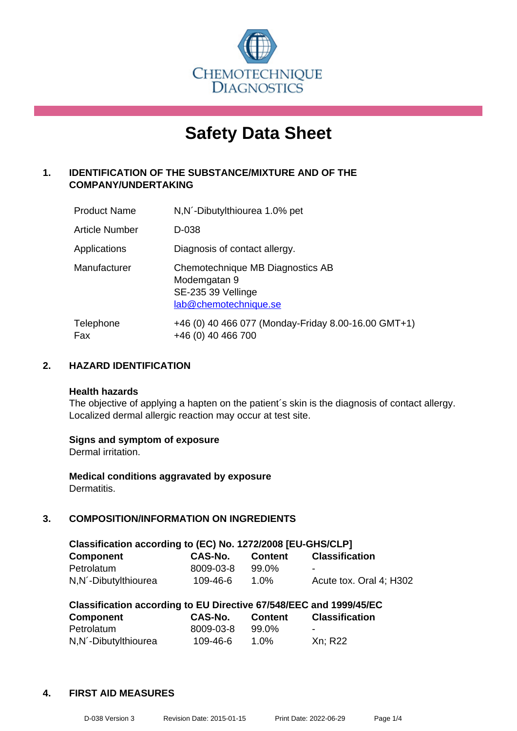

# **Safety Data Sheet**

## **1. IDENTIFICATION OF THE SUBSTANCE/MIXTURE AND OF THE COMPANY/UNDERTAKING**

| <b>Product Name</b> | N, N - Dibutylthiourea 1.0% pet                                                                 |
|---------------------|-------------------------------------------------------------------------------------------------|
| Article Number      | D-038                                                                                           |
| Applications        | Diagnosis of contact allergy.                                                                   |
| Manufacturer        | Chemotechnique MB Diagnostics AB<br>Modemgatan 9<br>SE-235 39 Vellinge<br>lab@chemotechnique.se |
| Telephone<br>Fax    | +46 (0) 40 466 077 (Monday-Friday 8.00-16.00 GMT+1)<br>+46 (0) 40 466 700                       |

## **2. HAZARD IDENTIFICATION**

#### **Health hazards**

The objective of applying a hapten on the patient's skin is the diagnosis of contact allergy. Localized dermal allergic reaction may occur at test site.

## **Signs and symptom of exposure**

Dermal irritation.

**Medical conditions aggravated by exposure** Dermatitis.

## **3. COMPOSITION/INFORMATION ON INGREDIENTS**

| Classification according to (EC) No. 1272/2008 [EU-GHS/CLP] |           |         |                         |  |  |
|-------------------------------------------------------------|-----------|---------|-------------------------|--|--|
| <b>Component</b>                                            | CAS-No.   | Content | <b>Classification</b>   |  |  |
| Petrolatum                                                  | 8009-03-8 | 99.0%   | -                       |  |  |
| N, N - Dibutylthiourea                                      | 109-46-6  | 1.0%    | Acute tox. Oral 4: H302 |  |  |

| Classification according to EU Directive 67/548/EEC and 1999/45/EC |           |                |                       |  |  |
|--------------------------------------------------------------------|-----------|----------------|-----------------------|--|--|
| <b>Component</b>                                                   | CAS-No.   | <b>Content</b> | <b>Classification</b> |  |  |
| Petrolatum                                                         | 8009-03-8 | 99.0%          |                       |  |  |
| N,N <sup>-</sup> Dibutylthiourea                                   | 109-46-6  | 1.0%           | Xn; R22               |  |  |

## **4. FIRST AID MEASURES**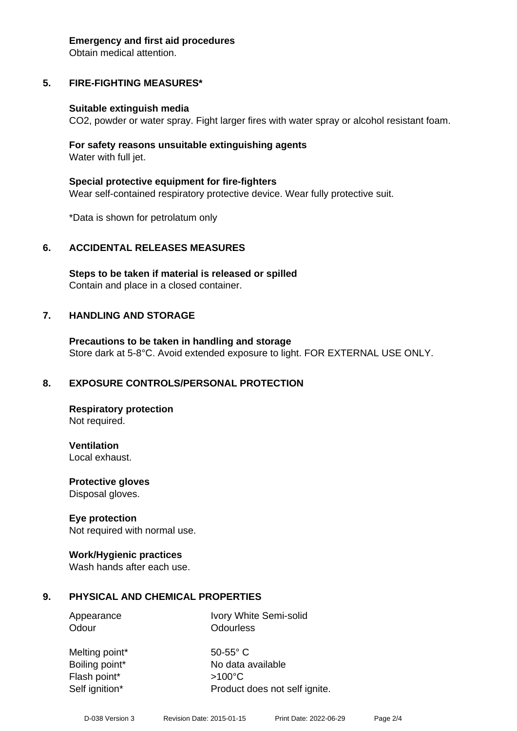#### **Emergency and first aid procedures**

Obtain medical attention.

# **5. FIRE-FIGHTING MEASURES\***

## **Suitable extinguish media**

CO2, powder or water spray. Fight larger fires with water spray or alcohol resistant foam.

## **For safety reasons unsuitable extinguishing agents** Water with full jet.

**Special protective equipment for fire-fighters** Wear self-contained respiratory protective device. Wear fully protective suit.

\*Data is shown for petrolatum only

# **6. ACCIDENTAL RELEASES MEASURES**

**Steps to be taken if material is released or spilled** Contain and place in a closed container.

# **7. HANDLING AND STORAGE**

**Precautions to be taken in handling and storage** Store dark at 5-8°C. Avoid extended exposure to light. FOR EXTERNAL USE ONLY.

# **8. EXPOSURE CONTROLS/PERSONAL PROTECTION**

**Respiratory protection** Not required.

**Ventilation** Local exhaust.

**Protective gloves** Disposal gloves.

## **Eye protection**

Not required with normal use.

## **Work/Hygienic practices**

Wash hands after each use.

# **9. PHYSICAL AND CHEMICAL PROPERTIES**

Appearance Ivory White Semi-solid Odour **Odourless** 

Melting point\* 50-55° C Flash point\* >100°C

Boiling point\* No data available Self ignition\* Product does not self ignite.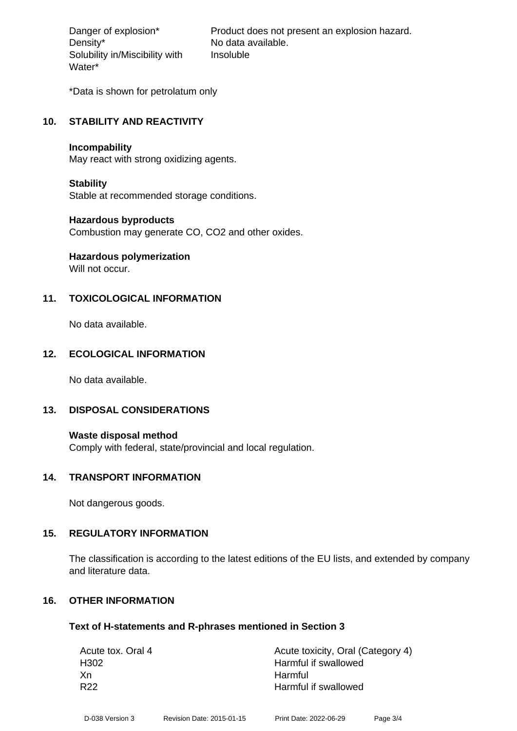Density\* No data available. Solubility in/Miscibility with Water\*

Danger of explosion\* Product does not present an explosion hazard. Insoluble

\*Data is shown for petrolatum only

## **10. STABILITY AND REACTIVITY**

#### **Incompability**

May react with strong oxidizing agents.

## **Stability**

Stable at recommended storage conditions.

## **Hazardous byproducts**

Combustion may generate CO, CO2 and other oxides.

# **Hazardous polymerization**

Will not occur.

## **11. TOXICOLOGICAL INFORMATION**

No data available.

## **12. ECOLOGICAL INFORMATION**

No data available.

## **13. DISPOSAL CONSIDERATIONS**

**Waste disposal method** Comply with federal, state/provincial and local regulation.

## **14. TRANSPORT INFORMATION**

Not dangerous goods.

## **15. REGULATORY INFORMATION**

The classification is according to the latest editions of the EU lists, and extended by company and literature data.

## **16. OTHER INFORMATION**

## **Text of H-statements and R-phrases mentioned in Section 3**

| Acute tox. Oral 4 | Acute toxicity, Oral (Category 4) |
|-------------------|-----------------------------------|
| H <sub>302</sub>  | Harmful if swallowed              |
| Xn                | Harmful                           |
| R <sub>22</sub>   | Harmful if swallowed              |
|                   |                                   |